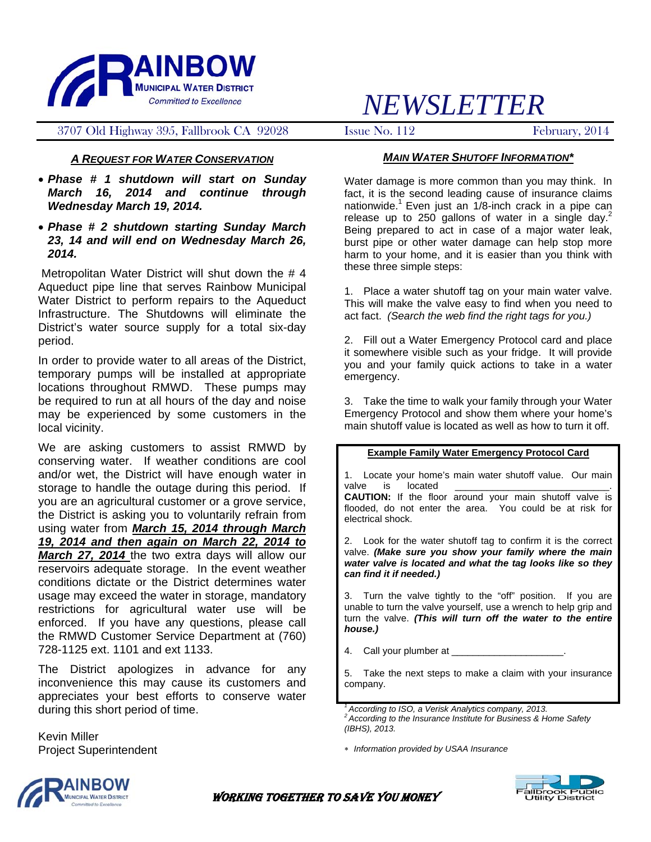

### 3707 Old Highway 395, Fallbrook CA 92028 Issue No. 112 February, 2014

## *A REQUEST FOR WATER CONSERVATION*

• *Phase # 1 shutdown will start on Sunday March 16, 2014 and continue through Wednesday March 19, 2014.* 

#### • *Phase # 2 shutdown starting Sunday March 23, 14 and will end on Wednesday March 26, 2014.*

 Metropolitan Water District will shut down the # 4 Aqueduct pipe line that serves Rainbow Municipal Water District to perform repairs to the Aqueduct Infrastructure. The Shutdowns will eliminate the District's water source supply for a total six-day period.

In order to provide water to all areas of the District, temporary pumps will be installed at appropriate locations throughout RMWD. These pumps may be required to run at all hours of the day and noise may be experienced by some customers in the local vicinity.

We are asking customers to assist RMWD by conserving water. If weather conditions are cool and/or wet, the District will have enough water in storage to handle the outage during this period. If you are an agricultural customer or a grove service, the District is asking you to voluntarily refrain from using water from *March 15, 2014 through March 19, 2014 and then again on March 22, 2014 to March 27, 2014* the two extra days will allow our reservoirs adequate storage. In the event weather conditions dictate or the District determines water usage may exceed the water in storage, mandatory restrictions for agricultural water use will be enforced. If you have any questions, please call the RMWD Customer Service Department at (760) 728-1125 ext. 1101 and ext 1133.

The District apologizes in advance for any inconvenience this may cause its customers and appreciates your best efforts to conserve water during this short period of time.

Kevin Miller Project Superintendent

# *NEWSLETTER*

#### *MAIN WATER SHUTOFF INFORMATION\**

Water damage is more common than you may think. In fact, it is the second leading cause of insurance claims nationwide.<sup>1</sup> Even just an  $1/8$ -inch crack in a pipe can release up to 250 gallons of water in a single day.<sup>2</sup> Being prepared to act in case of a major water leak, burst pipe or other water damage can help stop more harm to your home, and it is easier than you think with these three simple steps:

1. Place a water shutoff tag on your main water valve. This will make the valve easy to find when you need to act fact. *(Search the web find the right tags for you.)*

2. Fill out a Water Emergency Protocol card and place it somewhere visible such as your fridge. It will provide you and your family quick actions to take in a water emergency.

3. Take the time to walk your family through your Water Emergency Protocol and show them where your home's main shutoff value is located as well as how to turn it off.

#### **Example Family Water Emergency Protocol Card**

1. Locate your home's main water shutoff value. Our main valve is located

**CAUTION:** If the floor around your main shutoff valve is flooded, do not enter the area. You could be at risk for electrical shock.

2. Look for the water shutoff tag to confirm it is the correct valve. *(Make sure you show your family where the main water valve is located and what the tag looks like so they can find it if needed.)*

3. Turn the valve tightly to the "off" position. If you are unable to turn the valve yourself, use a wrench to help grip and turn the valve. *(This will turn off the water to the entire house.)*

4. Call your plumber at

5. Take the next steps to make a claim with your insurance company.

*1 According to ISO, a Verisk Analytics company, 2013. 2 According to the Insurance Institute for Business & Home Safety (IBHS), 2013.* 

∗ *Information provided by USAA Insurance* 



**Ilbrook Public<br>Jtility District** 

**MUNICIPAL WATER DISTRICT CONSERVED BEEN ASSESSED FOR SAVE YOU MONEY**